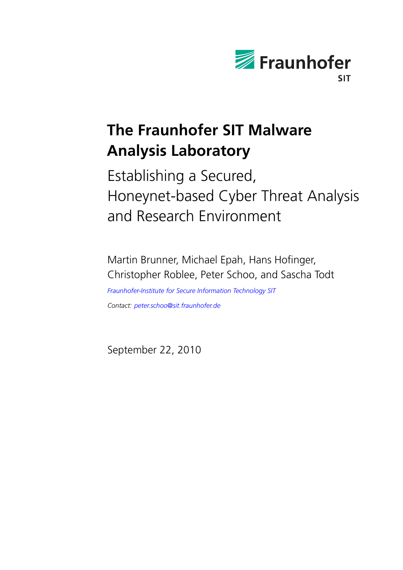

# **The Fraunhofer SIT Malware Analysis Laboratory**

Establishing a Secured, Honeynet-based Cyber Threat Analysis and Research Environment

Martin Brunner, Michael Epah, Hans Hofinger, Christopher Roblee, Peter Schoo, and Sascha Todt *[Fraunhofer-Institute for Secure Information Technology SIT](http://www.sit.fraunhofer.de/) Contact: [peter.schoo@sit.fraunhofer.de](mailto:peter.schoo@sit.fraunhofer.de)*

September 22, 2010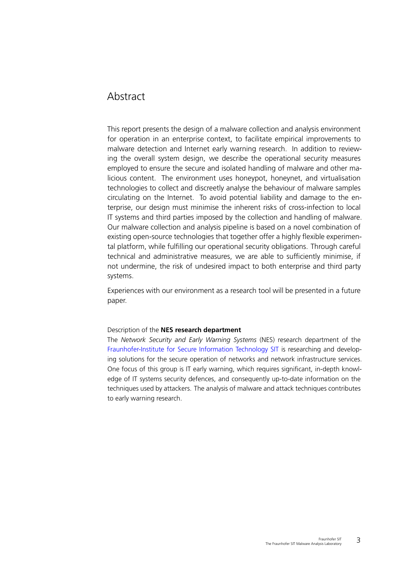# Abstract

This report presents the design of a malware collection and analysis environment for operation in an enterprise context, to facilitate empirical improvements to malware detection and Internet early warning research. In addition to reviewing the overall system design, we describe the operational security measures employed to ensure the secure and isolated handling of malware and other malicious content. The environment uses honeypot, honeynet, and virtualisation technologies to collect and discreetly analyse the behaviour of malware samples circulating on the Internet. To avoid potential liability and damage to the enterprise, our design must minimise the inherent risks of cross-infection to local IT systems and third parties imposed by the collection and handling of malware. Our malware collection and analysis pipeline is based on a novel combination of existing open-source technologies that together offer a highly flexible experimental platform, while fulfilling our operational security obligations. Through careful technical and administrative measures, we are able to sufficiently minimise, if not undermine, the risk of undesired impact to both enterprise and third party systems.

Experiences with our environment as a research tool will be presented in a future paper.

#### Description of the **NES research department**

The *Network Security and Early Warning Systems* (NES) research department of the [Fraunhofer-Institute for Secure Information Technology SIT](http://www.sit.fraunhofer.de/) is researching and developing solutions for the secure operation of networks and network infrastructure services. One focus of this group is IT early warning, which requires significant, in-depth knowledge of IT systems security defences, and consequently up-to-date information on the techniques used by attackers. The analysis of malware and attack techniques contributes to early warning research.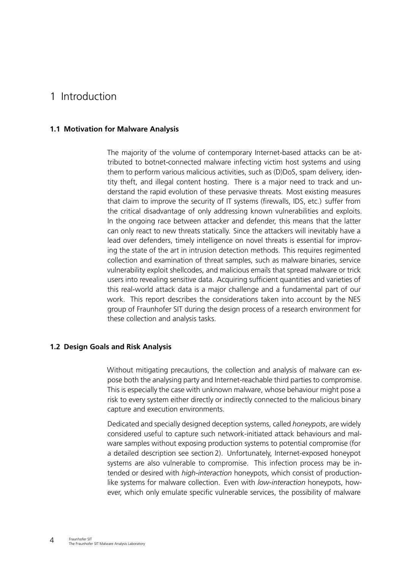# 1 Introduction

### **1.1 Motivation for Malware Analysis**

The majority of the volume of contemporary Internet-based attacks can be attributed to botnet-connected malware infecting victim host systems and using them to perform various malicious activities, such as (D)DoS, spam delivery, identity theft, and illegal content hosting. There is a major need to track and understand the rapid evolution of these pervasive threats. Most existing measures that claim to improve the security of IT systems (firewalls, IDS, etc.) suffer from the critical disadvantage of only addressing known vulnerabilities and exploits. In the ongoing race between attacker and defender, this means that the latter can only react to new threats statically. Since the attackers will inevitably have a lead over defenders, timely intelligence on novel threats is essential for improving the state of the art in intrusion detection methods. This requires regimented collection and examination of threat samples, such as malware binaries, service vulnerability exploit shellcodes, and malicious emails that spread malware or trick users into revealing sensitive data. Acquiring sufficient quantities and varieties of this real-world attack data is a major challenge and a fundamental part of our work. This report describes the considerations taken into account by the NES group of Fraunhofer SIT during the design process of a research environment for these collection and analysis tasks.

### **1.2 Design Goals and Risk Analysis**

<span id="page-3-0"></span>Without mitigating precautions, the collection and analysis of malware can expose both the analysing party and Internet-reachable third parties to compromise. This is especially the case with unknown malware, whose behaviour might pose a risk to every system either directly or indirectly connected to the malicious binary capture and execution environments.

Dedicated and specially designed deception systems, called *honeypots*, are widely considered useful to capture such network-initiated attack behaviours and malware samples without exposing production systems to potential compromise (for a detailed description see section [2\)](#page-6-0). Unfortunately, Internet-exposed honeypot systems are also vulnerable to compromise. This infection process may be intended or desired with *high-interaction* honeypots, which consist of productionlike systems for malware collection. Even with *low-interaction* honeypots, however, which only emulate specific vulnerable services, the possibility of malware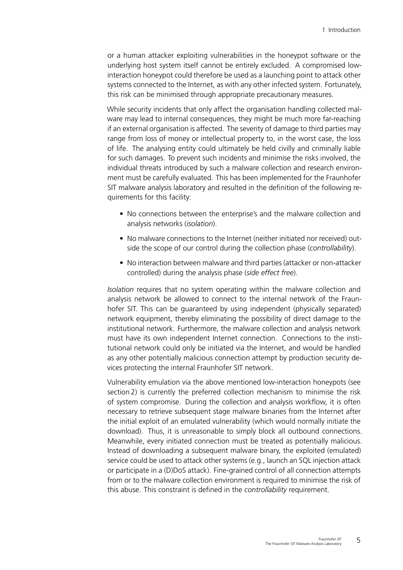or a human attacker exploiting vulnerabilities in the honeypot software or the underlying host system itself cannot be entirely excluded. A compromised lowinteraction honeypot could therefore be used as a launching point to attack other systems connected to the Internet, as with any other infected system. Fortunately, this risk can be minimised through appropriate precautionary measures.

While security incidents that only affect the organisation handling collected malware may lead to internal consequences, they might be much more far-reaching if an external organisation is affected. The severity of damage to third parties may range from loss of money or intellectual property to, in the worst case, the loss of life. The analysing entity could ultimately be held civilly and criminally liable for such damages. To prevent such incidents and minimise the risks involved, the individual threats introduced by such a malware collection and research environment must be carefully evaluated. This has been implemented for the Fraunhofer SIT malware analysis laboratory and resulted in the definition of the following requirements for this facility:

- No connections between the enterprise's and the malware collection and analysis networks (*isolation*).
- No malware connections to the Internet (neither initiated nor received) outside the scope of our control during the collection phase (*controllability*).
- No interaction between malware and third parties (attacker or non-attacker controlled) during the analysis phase (*side effect free*).

*Isolation* requires that no system operating within the malware collection and analysis network be allowed to connect to the internal network of the Fraunhofer SIT. This can be guaranteed by using independent (physically separated) network equipment, thereby eliminating the possibility of direct damage to the institutional network. Furthermore, the malware collection and analysis network must have its own independent Internet connection. Connections to the institutional network could only be initiated via the Internet, and would be handled as any other potentially malicious connection attempt by production security devices protecting the internal Fraunhofer SIT network.

Vulnerability emulation via the above mentioned low-interaction honeypots (see section [2\)](#page-6-0) is currently the preferred collection mechanism to minimise the risk of system compromise. During the collection and analysis workflow, it is often necessary to retrieve subsequent stage malware binaries from the Internet after the initial exploit of an emulated vulnerability (which would normally initiate the download). Thus, it is unreasonable to simply block all outbound connections. Meanwhile, every initiated connection must be treated as potentially malicious. Instead of downloading a subsequent malware binary, the exploited (emulated) service could be used to attack other systems (e.g., launch an SQL injection attack or participate in a (D)DoS attack). Fine-grained control of all connection attempts from or to the malware collection environment is required to minimise the risk of this abuse. This constraint is defined in the *controllability* requirement.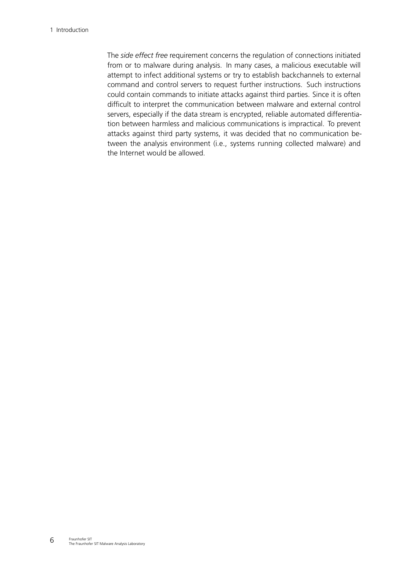The *side effect free* requirement concerns the regulation of connections initiated from or to malware during analysis. In many cases, a malicious executable will attempt to infect additional systems or try to establish backchannels to external command and control servers to request further instructions. Such instructions could contain commands to initiate attacks against third parties. Since it is often difficult to interpret the communication between malware and external control servers, especially if the data stream is encrypted, reliable automated differentiation between harmless and malicious communications is impractical. To prevent attacks against third party systems, it was decided that no communication between the analysis environment (i.e., systems running collected malware) and the Internet would be allowed.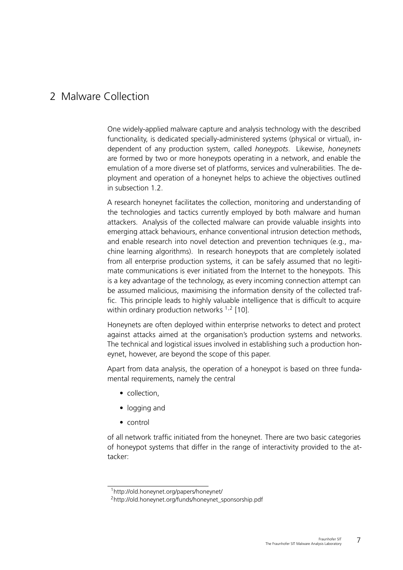# <span id="page-6-3"></span><span id="page-6-0"></span>2 Malware Collection

One widely-applied malware capture and analysis technology with the described functionality, is dedicated specially-administered systems (physical or virtual), independent of any production system, called *honeypots*. Likewise, *honeynets* are formed by two or more honeypots operating in a network, and enable the emulation of a more diverse set of platforms, services and vulnerabilities. The deployment and operation of a honeynet helps to achieve the objectives outlined in subsection [1.2.](#page-3-0)

A research honeynet facilitates the collection, monitoring and understanding of the technologies and tactics currently employed by both malware and human attackers. Analysis of the collected malware can provide valuable insights into emerging attack behaviours, enhance conventional intrusion detection methods, and enable research into novel detection and prevention techniques (e.g., machine learning algorithms). In research honeypots that are completely isolated from all enterprise production systems, it can be safely assumed that no legitimate communications is ever initiated from the Internet to the honeypots. This is a key advantage of the technology, as every incoming connection attempt can be assumed malicious, maximising the information density of the collected traffic. This principle leads to highly valuable intelligence that is difficult to acquire within ordinary production networks <sup>[1](#page-6-1),[2](#page-6-2)</sup> [\[10\]](#page-26-0).

Honeynets are often deployed within enterprise networks to detect and protect against attacks aimed at the organisation's production systems and networks. The technical and logistical issues involved in establishing such a production honeynet, however, are beyond the scope of this paper.

Apart from data analysis, the operation of a honeypot is based on three fundamental requirements, namely the central

- collection,
- logging and
- control

of all network traffic initiated from the honeynet. There are two basic categories of honeypot systems that differ in the range of interactivity provided to the attacker:

<span id="page-6-2"></span><span id="page-6-1"></span><sup>1</sup>http://old.honeynet.org/papers/honeynet/

<sup>2</sup>http://old.honeynet.org/funds/honeynet\_sponsorship.pdf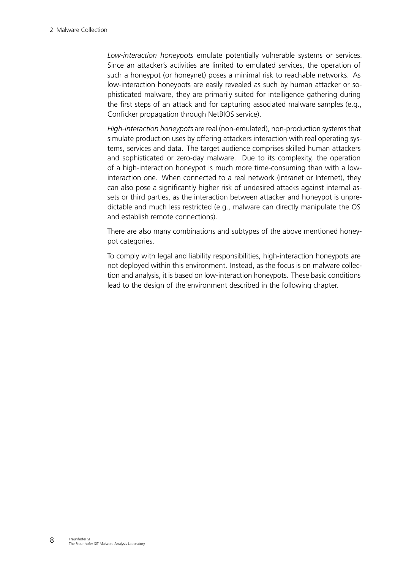*Low-interaction honeypots* emulate potentially vulnerable systems or services. Since an attacker's activities are limited to emulated services, the operation of such a honeypot (or honeynet) poses a minimal risk to reachable networks. As low-interaction honeypots are easily revealed as such by human attacker or sophisticated malware, they are primarily suited for intelligence gathering during the first steps of an attack and for capturing associated malware samples (e.g., Conficker propagation through NetBIOS service).

*High-interaction honeypots* are real (non-emulated), non-production systems that simulate production uses by offering attackers interaction with real operating systems, services and data. The target audience comprises skilled human attackers and sophisticated or zero-day malware. Due to its complexity, the operation of a high-interaction honeypot is much more time-consuming than with a lowinteraction one. When connected to a real network (intranet or Internet), they can also pose a significantly higher risk of undesired attacks against internal assets or third parties, as the interaction between attacker and honeypot is unpredictable and much less restricted (e.g., malware can directly manipulate the OS and establish remote connections).

There are also many combinations and subtypes of the above mentioned honeypot categories.

To comply with legal and liability responsibilities, high-interaction honeypots are not deployed within this environment. Instead, as the focus is on malware collection and analysis, it is based on low-interaction honeypots. These basic conditions lead to the design of the environment described in the following chapter.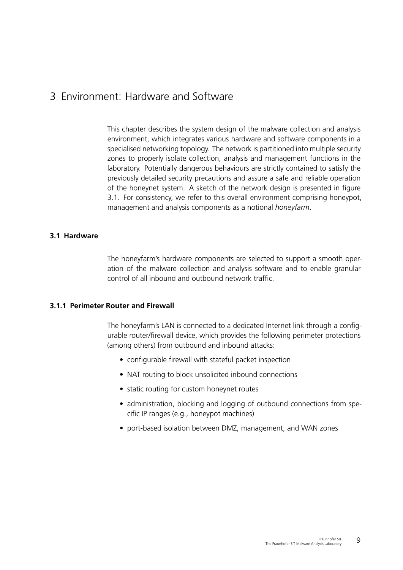# 3 Environment: Hardware and Software

This chapter describes the system design of the malware collection and analysis environment, which integrates various hardware and software components in a specialised networking topology. The network is partitioned into multiple security zones to properly isolate collection, analysis and management functions in the laboratory. Potentially dangerous behaviours are strictly contained to satisfy the previously detailed security precautions and assure a safe and reliable operation of the honeynet system. A sketch of the network design is presented in figure [3.1.](#page-9-0) For consistency, we refer to this overall environment comprising honeypot, management and analysis components as a notional *honeyfarm*.

## **3.1 Hardware**

The honeyfarm's hardware components are selected to support a smooth operation of the malware collection and analysis software and to enable granular control of all inbound and outbound network traffic.

#### **3.1.1 Perimeter Router and Firewall**

The honeyfarm's LAN is connected to a dedicated Internet link through a configurable router/firewall device, which provides the following perimeter protections (among others) from outbound and inbound attacks:

- configurable firewall with stateful packet inspection
- NAT routing to block unsolicited inbound connections
- static routing for custom honeynet routes
- administration, blocking and logging of outbound connections from specific IP ranges (e.g., honeypot machines)
- port-based isolation between DMZ, management, and WAN zones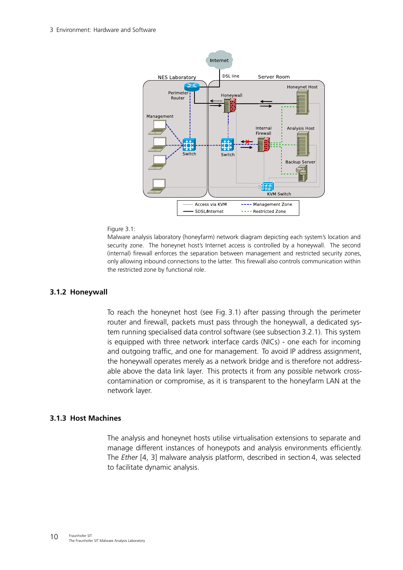<span id="page-9-1"></span>

#### Figure 3.1:

<span id="page-9-0"></span>

#### **3.1.2 Honeywall**

To reach the honeynet host (see Fig. [3.1\)](#page-9-0) after passing through the perimeter router and firewall, packets must pass through the honeywall, a dedicated system running specialised data control software (see subsection [3.2.1\)](#page-10-0). This system is equipped with three network interface cards (NICs) - one each for incoming and outgoing traffic, and one for management. To avoid IP address assignment, the honeywall operates merely as a network bridge and is therefore not addressable above the data link layer. This protects it from any possible network crosscontamination or compromise, as it is transparent to the honeyfarm LAN at the network layer.

#### **3.1.3 Host Machines**

The analysis and honeynet hosts utilise virtualisation extensions to separate and manage different instances of honeypots and analysis environments efficiently. The *Ether* [\[4,](#page-26-1) [3\]](#page-26-2) malware analysis platform, described in section [4,](#page-16-0) was selected to facilitate dynamic analysis.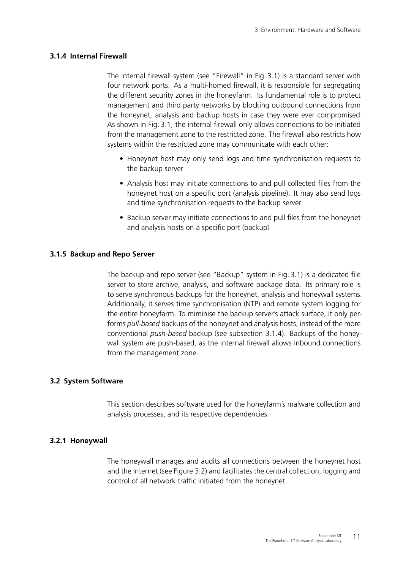### **3.1.4 Internal Firewall**

<span id="page-10-1"></span>The internal firewall system (see "Firewall" in Fig. [3.1\)](#page-9-0) is a standard server with four network ports. As a multi-homed firewall, it is responsible for segregating the different security zones in the honeyfarm. Its fundamental role is to protect management and third party networks by blocking outbound connections from the honeynet, analysis and backup hosts in case they were ever compromised. As shown in Fig. [3.1,](#page-9-0) the internal firewall only allows connections to be initiated from the management zone to the restricted zone. The firewall also restricts how systems within the restricted zone may communicate with each other:

- Honeynet host may only send logs and time synchronisation requests to the backup server
- Analysis host may initiate connections to and pull collected files from the honeynet host on a specific port (analysis pipeline). It may also send logs and time synchronisation requests to the backup server
- Backup server may initiate connections to and pull files from the honeynet and analysis hosts on a specific port (backup)

#### **3.1.5 Backup and Repo Server**

The backup and repo server (see "Backup" system in Fig. [3.1\)](#page-9-0) is a dedicated file server to store archive, analysis, and software package data. Its primary role is to serve synchronous backups for the honeynet, analysis and honeywall systems. Additionally, it serves time synchronisation (NTP) and remote system logging for the entire honeyfarm. To miminise the backup server's attack surface, it only performs *pull-based* backups of the honeynet and analysis hosts, instead of the more conventional *push-based* backup (see subsection [3.1.4\)](#page-10-1). Backups of the honeywall system are push-based, as the internal firewall allows inbound connections from the management zone.

#### **3.2 System Software**

<span id="page-10-2"></span>This section describes software used for the honeyfarm's malware collection and analysis processes, and its respective dependencies.

### **3.2.1 Honeywall**

<span id="page-10-0"></span>The honeywall manages and audits all connections between the honeynet host and the Internet (see Figure [3.2\)](#page-11-0) and facilitates the central collection, logging and control of all network traffic initiated from the honeynet.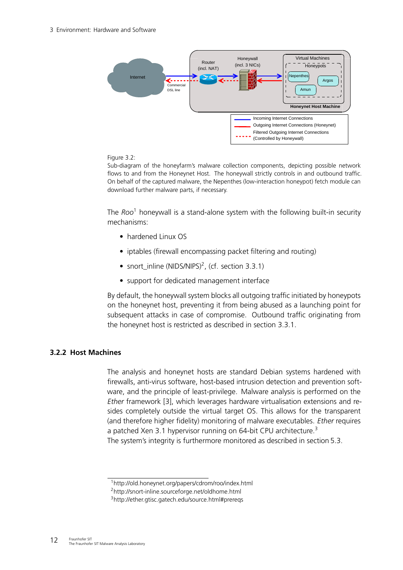<span id="page-11-4"></span>

### Figure 3.2:

<span id="page-11-0"></span>Sub-diagram of the honeyfarm's malware collection components, depicting possible network flows to and from the Honeynet Host. The honeywall strictly controls in and outbound traffic. On behalf of the captured malware, the Nepenthes (low-interaction honeypot) fetch module can download further malware parts, if necessary.

The *Roo*[1](#page-11-1) honeywall is a stand-alone system with the following built-in security mechanisms:

- hardened Linux OS
- iptables (firewall encompassing packet filtering and routing)
- snort\_inline (NIDS/NIPS)<sup>[2](#page-11-2)</sup>, (cf. section [3.3.1\)](#page-12-0)
- support for dedicated management interface

By default, the honeywall system blocks all outgoing traffic initiated by honeypots on the honeynet host, preventing it from being abused as a launching point for subsequent attacks in case of compromise. Outbound traffic originating from the honeynet host is restricted as described in section [3.3.1.](#page-12-0)

# **3.2.2 Host Machines**

The analysis and honeynet hosts are standard Debian systems hardened with firewalls, anti-virus software, host-based intrusion detection and prevention software, and the principle of least-privilege. Malware analysis is performed on the *Ether* framework [\[3\]](#page-26-2), which leverages hardware virtualisation extensions and resides completely outside the virtual target OS. This allows for the transparent (and therefore higher fidelity) monitoring of malware executables. *Ether* requires a patched Xen [3](#page-11-3).1 hypervisor running on 64-bit CPU architecture.<sup>3</sup> The system's integrity is furthermore monitored as described in section [5.3.](#page-21-0)

<span id="page-11-1"></span><sup>1</sup>http://old.honeynet.org/papers/cdrom/roo/index.html

<span id="page-11-2"></span><sup>2</sup>http://snort-inline.sourceforge.net/oldhome.html

<span id="page-11-3"></span><sup>3</sup>http://ether.gtisc.gatech.edu/source.html#prereqs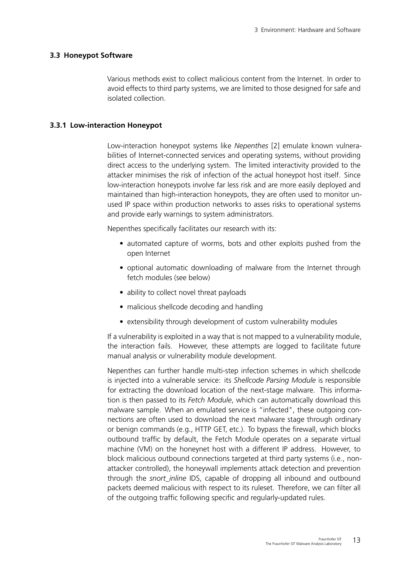#### **3.3 Honeypot Software**

<span id="page-12-1"></span>Various methods exist to collect malicious content from the Internet. In order to avoid effects to third party systems, we are limited to those designed for safe and isolated collection.

### **3.3.1 Low-interaction Honeypot**

<span id="page-12-0"></span>Low-interaction honeypot systems like *Nepenthes* [\[2\]](#page-26-3) emulate known vulnerabilities of Internet-connected services and operating systems, without providing direct access to the underlying system. The limited interactivity provided to the attacker minimises the risk of infection of the actual honeypot host itself. Since low-interaction honeypots involve far less risk and are more easily deployed and maintained than high-interaction honeypots, they are often used to monitor unused IP space within production networks to asses risks to operational systems and provide early warnings to system administrators.

Nepenthes specifically facilitates our research with its:

- automated capture of worms, bots and other exploits pushed from the open Internet
- optional automatic downloading of malware from the Internet through fetch modules (see below)
- ability to collect novel threat payloads
- malicious shellcode decoding and handling
- extensibility through development of custom vulnerability modules

If a vulnerability is exploited in a way that is not mapped to a vulnerability module, the interaction fails. However, these attempts are logged to facilitate future manual analysis or vulnerability module development.

Nepenthes can further handle multi-step infection schemes in which shellcode is injected into a vulnerable service: its *Shellcode Parsing Module* is responsible for extracting the download location of the next-stage malware. This information is then passed to its *Fetch Module*, which can automatically download this malware sample. When an emulated service is "infected", these outgoing connections are often used to download the next malware stage through ordinary or benign commands (e.g., HTTP GET, etc.). To bypass the firewall, which blocks outbound traffic by default, the Fetch Module operates on a separate virtual machine (VM) on the honeynet host with a different IP address. However, to block malicious outbound connections targeted at third party systems (i.e., nonattacker controlled), the honeywall implements attack detection and prevention through the *snort\_inline* IDS, capable of dropping all inbound and outbound packets deemed malicious with respect to its ruleset. Therefore, we can filter all of the outgoing traffic following specific and regularly-updated rules.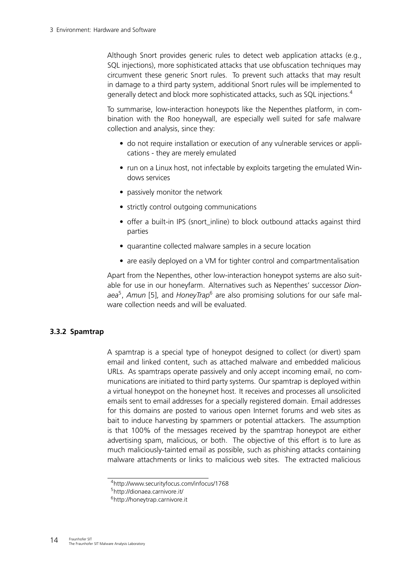<span id="page-13-3"></span>Although Snort provides generic rules to detect web application attacks (e.g., SQL injections), more sophisticated attacks that use obfuscation techniques may circumvent these generic Snort rules. To prevent such attacks that may result in damage to a third party system, additional Snort rules will be implemented to generally detect and block more sophisticated attacks, such as SQL injections.[4](#page-13-0)

To summarise, low-interaction honeypots like the Nepenthes platform, in combination with the Roo honeywall, are especially well suited for safe malware collection and analysis, since they:

- do not require installation or execution of any vulnerable services or applications - they are merely emulated
- run on a Linux host, not infectable by exploits targeting the emulated Windows services
- passively monitor the network
- strictly control outgoing communications
- offer a built-in IPS (snort inline) to block outbound attacks against third parties
- quarantine collected malware samples in a secure location
- are easily deployed on a VM for tighter control and compartmentalisation

Apart from the Nepenthes, other low-interaction honeypot systems are also suitable for use in our honeyfarm. Alternatives such as Nepenthes' successor *Dion-*aea<sup>[5](#page-13-1)</sup>, Amun [\[5\]](#page-26-4), and HoneyTrap<sup>[6](#page-13-2)</sup> are also promising solutions for our safe malware collection needs and will be evaluated.

## **3.3.2 Spamtrap**

A spamtrap is a special type of honeypot designed to collect (or divert) spam email and linked content, such as attached malware and embedded malicious URLs. As spamtraps operate passively and only accept incoming email, no communications are initiated to third party systems. Our spamtrap is deployed within a virtual honeypot on the honeynet host. It receives and processes all unsolicited emails sent to email addresses for a specially registered domain. Email addresses for this domains are posted to various open Internet forums and web sites as bait to induce harvesting by spammers or potential attackers. The assumption is that 100% of the messages received by the spamtrap honeypot are either advertising spam, malicious, or both. The objective of this effort is to lure as much maliciously-tainted email as possible, such as phishing attacks containing malware attachments or links to malicious web sites. The extracted malicious

<span id="page-13-0"></span><sup>4</sup>http://www.securityfocus.com/infocus/1768

<span id="page-13-1"></span><sup>5</sup>http://dionaea.carnivore.it/

<span id="page-13-2"></span><sup>6</sup>http://honeytrap.carnivore.it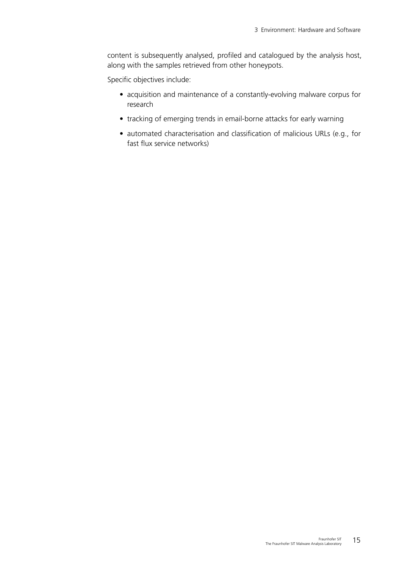content is subsequently analysed, profiled and catalogued by the analysis host, along with the samples retrieved from other honeypots.

Specific objectives include:

- acquisition and maintenance of a constantly-evolving malware corpus for research
- tracking of emerging trends in email-borne attacks for early warning
- automated characterisation and classification of malicious URLs (e.g., for fast flux service networks)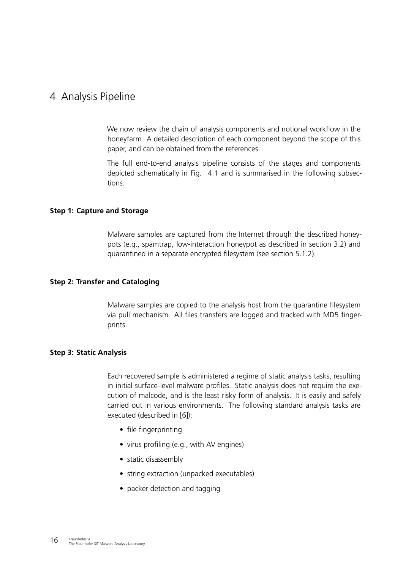# <span id="page-15-0"></span>4 Analysis Pipeline

We now review the chain of analysis components and notional workflow in the honeyfarm. A detailed description of each component beyond the scope of this paper, and can be obtained from the references.

The full end-to-end analysis pipeline consists of the stages and components depicted schematically in Fig. [4.1](#page-16-1) and is summarised in the following subsections.

### **Step 1: Capture and Storage**

Malware samples are captured from the Internet through the described honeypots (e.g., spamtrap, low-interaction honeypot as described in section [3.2\)](#page-10-2) and quarantined in a separate encrypted filesystem (see section [5.1.2\)](#page-19-0).

### **Step 2: Transfer and Cataloging**

Malware samples are copied to the analysis host from the quarantine filesystem via pull mechanism. All files transfers are logged and tracked with MD5 fingerprints.

#### **Step 3: Static Analysis**

Each recovered sample is administered a regime of static analysis tasks, resulting in initial surface-level malware profiles. Static analysis does not require the execution of malcode, and is the least risky form of analysis. It is easily and safely carried out in various environments. The following standard analysis tasks are executed (described in [\[6\]](#page-26-5)):

- file fingerprinting
- virus profiling (e.g., with AV engines)
- static disassembly
- string extraction (unpacked executables)
- packer detection and tagging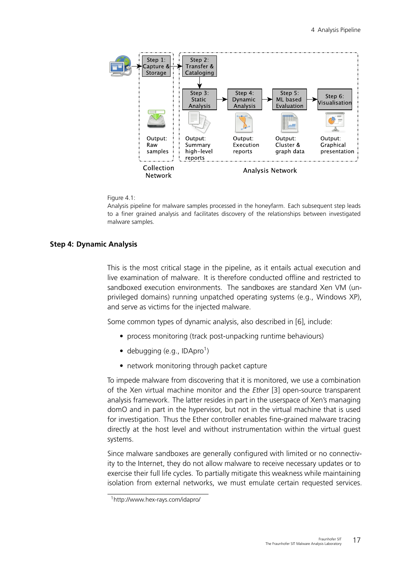<span id="page-16-3"></span>

#### Figure 4.1:

<span id="page-16-1"></span>Analysis pipeline for malware samples processed in the honeyfarm. Each subsequent step leads to a finer grained analysis and facilitates discovery of the relationships between investigated malware samples.

#### **Step 4: Dynamic Analysis**

<span id="page-16-0"></span>This is the most critical stage in the pipeline, as it entails actual execution and live examination of malware. It is therefore conducted offline and restricted to sandboxed execution environments. The sandboxes are standard Xen VM (unprivileged domains) running unpatched operating systems (e.g., Windows XP), and serve as victims for the injected malware.

Some common types of dynamic analysis, also described in [\[6\]](#page-26-5), include:

- process monitoring (track post-unpacking runtime behaviours)
- $\bullet$  debugging (e.g., IDApro<sup>[1](#page-16-2)</sup>)
- network monitoring through packet capture

To impede malware from discovering that it is monitored, we use a combination of the Xen virtual machine monitor and the *Ether* [\[3\]](#page-26-2) open-source transparent analysis framework. The latter resides in part in the userspace of Xen's managing domO and in part in the hypervisor, but not in the virtual machine that is used for investigation. Thus the Ether controller enables fine-grained malware tracing directly at the host level and without instrumentation within the virtual guest systems.

Since malware sandboxes are generally configured with limited or no connectivity to the Internet, they do not allow malware to receive necessary updates or to exercise their full life cycles. To partially mitigate this weakness while maintaining isolation from external networks, we must emulate certain requested services.

<span id="page-16-2"></span><sup>1</sup>http://www.hex-rays.com/idapro/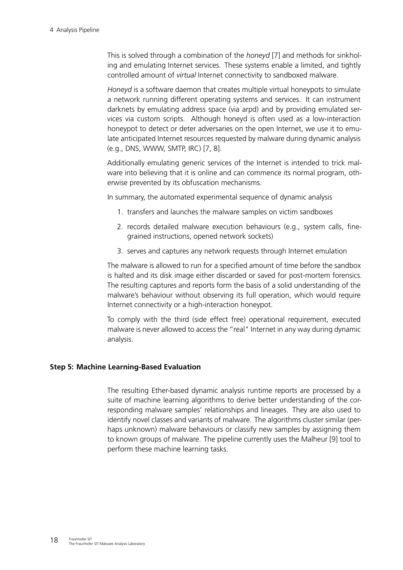<span id="page-17-0"></span>This is solved through a combination of the *honeyd* [\[7\]](#page-26-6) and methods for sinkholing and emulating Internet services. These systems enable a limited, and tightly controlled amount of *virtual* Internet connectivity to sandboxed malware.

*Honeyd* is a software daemon that creates multiple virtual honeypots to simulate a network running different operating systems and services. It can instrument darknets by emulating address space (via arpd) and by providing emulated services via custom scripts. Although honeyd is often used as a low-interaction honeypot to detect or deter adversaries on the open Internet, we use it to emulate anticipated Internet resources requested by malware during dynamic analysis (e.g., DNS, WWW, SMTP, IRC) [\[7,](#page-26-6) [8\]](#page-26-7).

Additionally emulating generic services of the Internet is intended to trick malware into believing that it is online and can commence its normal program, otherwise prevented by its obfuscation mechanisms.

In summary, the automated experimental sequence of dynamic analysis

- 1. transfers and launches the malware samples on victim sandboxes
- 2. records detailed malware execution behaviours (e.g., system calls, finegrained instructions, opened network sockets)
- 3. serves and captures any network requests through Internet emulation

The malware is allowed to run for a specified amount of time before the sandbox is halted and its disk image either discarded or saved for post-mortem forensics. The resulting captures and reports form the basis of a solid understanding of the malware's behaviour without observing its full operation, which would require Internet connectivity or a high-interaction honeypot.

To comply with the third (side effect free) operational requirement, executed malware is never allowed to access the "real" Internet in any way during dynamic analysis.

## **Step 5: Machine Learning-Based Evaluation**

The resulting Ether-based dynamic analysis runtime reports are processed by a suite of machine learning algorithms to derive better understanding of the corresponding malware samples' relationships and lineages. They are also used to identify novel classes and variants of malware. The algorithms cluster similar (perhaps unknown) malware behaviours or classify new samples by assigning them to known groups of malware. The pipeline currently uses the Malheur [\[9\]](#page-26-8) tool to perform these machine learning tasks.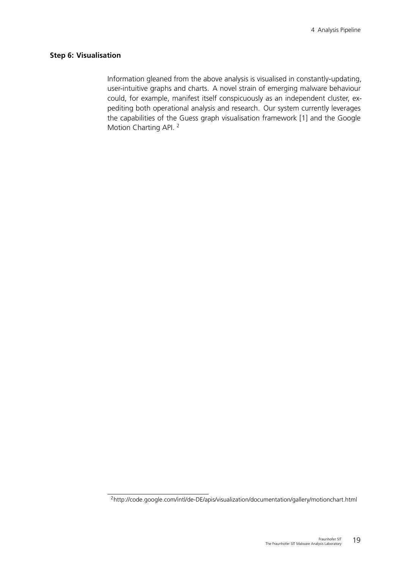#### **Step 6: Visualisation**

<span id="page-18-1"></span>Information gleaned from the above analysis is visualised in constantly-updating, user-intuitive graphs and charts. A novel strain of emerging malware behaviour could, for example, manifest itself conspicuously as an independent cluster, expediting both operational analysis and research. Our system currently leverages the capabilities of the Guess graph visualisation framework [\[1\]](#page-26-9) and the Google Motion Charting API.<sup>[2](#page-18-0)</sup>

<span id="page-18-0"></span><sup>2</sup>http://code.google.com/intl/de-DE/apis/visualization/documentation/gallery/motionchart.html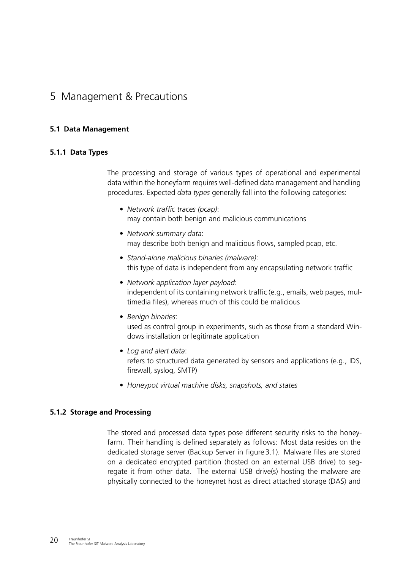# 5 Management & Precautions

# **5.1 Data Management**

# **5.1.1 Data Types**

The processing and storage of various types of operational and experimental data within the honeyfarm requires well-defined data management and handling procedures. Expected *data types* generally fall into the following categories:

- *Network traffic traces (pcap)*: may contain both benign and malicious communications
- *Network summary data*: may describe both benign and malicious flows, sampled pcap, etc.
- *Stand-alone malicious binaries (malware)*: this type of data is independent from any encapsulating network traffic
- *Network application layer payload*: independent of its containing network traffic (e.g., emails, web pages, multimedia files), whereas much of this could be malicious
- *Benign binaries*: used as control group in experiments, such as those from a standard Windows installation or legitimate application
- *Log and alert data*: refers to structured data generated by sensors and applications (e.g., IDS, firewall, syslog, SMTP)
- <span id="page-19-0"></span>• *Honeypot virtual machine disks, snapshots, and states*

## **5.1.2 Storage and Processing**

The stored and processed data types pose different security risks to the honeyfarm. Their handling is defined separately as follows: Most data resides on the dedicated storage server (Backup Server in figure [3.1\)](#page-9-0). Malware files are stored on a dedicated encrypted partition (hosted on an external USB drive) to segregate it from other data. The external USB drive(s) hosting the malware are physically connected to the honeynet host as direct attached storage (DAS) and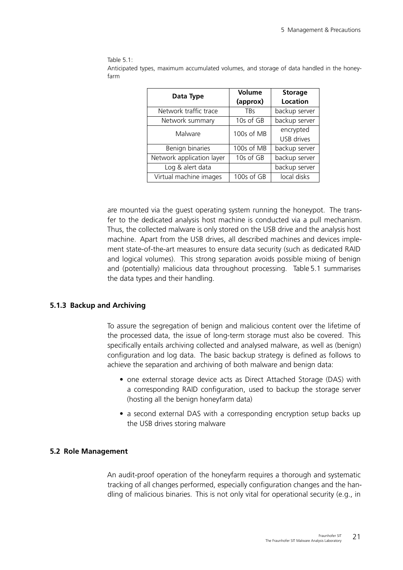Table 5.1:

<span id="page-20-0"></span>Anticipated types, maximum accumulated volumes, and storage of data handled in the honeyfarm

| Data Type                 | Volume<br>(approx) | <b>Storage</b><br><b>Location</b> |
|---------------------------|--------------------|-----------------------------------|
| Network traffic trace     | <b>TBs</b>         | backup server                     |
| Network summary           | 10s of GB          | backup server                     |
| Malware                   | 100s of MB         | encrypted<br>USB drives           |
| Benign binaries           | 100s of MB         | backup server                     |
| Network application layer | 10s of GB          | backup server                     |
| Log & alert data          |                    | backup server                     |
| Virtual machine images    | 100s of GB         | local disks                       |

are mounted via the guest operating system running the honeypot. The transfer to the dedicated analysis host machine is conducted via a pull mechanism. Thus, the collected malware is only stored on the USB drive and the analysis host machine. Apart from the USB drives, all described machines and devices implement state-of-the-art measures to ensure data security (such as dedicated RAID and logical volumes). This strong separation avoids possible mixing of benign and (potentially) malicious data throughout processing. Table [5.1](#page-20-0) summarises the data types and their handling.

## **5.1.3 Backup and Archiving**

To assure the segregation of benign and malicious content over the lifetime of the processed data, the issue of long-term storage must also be covered. This specifically entails archiving collected and analysed malware, as well as (benign) configuration and log data. The basic backup strategy is defined as follows to achieve the separation and archiving of both malware and benign data:

- one external storage device acts as Direct Attached Storage (DAS) with a corresponding RAID configuration, used to backup the storage server (hosting all the benign honeyfarm data)
- a second external DAS with a corresponding encryption setup backs up the USB drives storing malware

# **5.2 Role Management**

An audit-proof operation of the honeyfarm requires a thorough and systematic tracking of all changes performed, especially configuration changes and the handling of malicious binaries. This is not only vital for operational security (e.g., in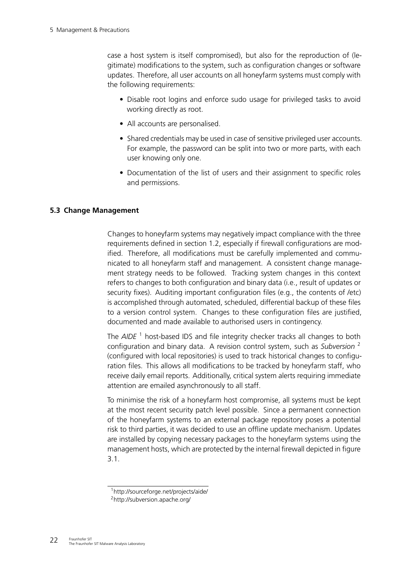case a host system is itself compromised), but also for the reproduction of (legitimate) modifications to the system, such as configuration changes or software updates. Therefore, all user accounts on all honeyfarm systems must comply with the following requirements:

- Disable root logins and enforce sudo usage for privileged tasks to avoid working directly as root.
- All accounts are personalised.
- Shared credentials may be used in case of sensitive privileged user accounts. For example, the password can be split into two or more parts, with each user knowing only one.
- Documentation of the list of users and their assignment to specific roles and permissions.

# **5.3 Change Management**

<span id="page-21-0"></span>Changes to honeyfarm systems may negatively impact compliance with the three requirements defined in section [1.2,](#page-3-0) especially if firewall configurations are modified. Therefore, all modifications must be carefully implemented and communicated to all honeyfarm staff and management. A consistent change management strategy needs to be followed. Tracking system changes in this context refers to changes to both configuration and binary data (i.e., result of updates or security fixes). Auditing important configuration files (e.g., the contents of /etc) is accomplished through automated, scheduled, differential backup of these files to a version control system. Changes to these configuration files are justified, documented and made available to authorised users in contingency.

The *AIDE*<sup>[1](#page-21-1)</sup> host-based IDS and file integrity checker tracks all changes to both configuration and binary data. A revision control system, such as *Subversion* [2](#page-21-2) (configured with local repositories) is used to track historical changes to configuration files. This allows all modifications to be tracked by honeyfarm staff, who receive daily email reports. Additionally, critical system alerts requiring immediate attention are emailed asynchronously to all staff.

To minimise the risk of a honeyfarm host compromise, all systems must be kept at the most recent security patch level possible. Since a permanent connection of the honeyfarm systems to an external package repository poses a potential risk to third parties, it was decided to use an offline update mechanism. Updates are installed by copying necessary packages to the honeyfarm systems using the management hosts, which are protected by the internal firewall depicted in figure [3.1.](#page-9-0)

<span id="page-21-1"></span><sup>1</sup>http://sourceforge.net/projects/aide/

<span id="page-21-2"></span><sup>2</sup>http://subversion.apache.org/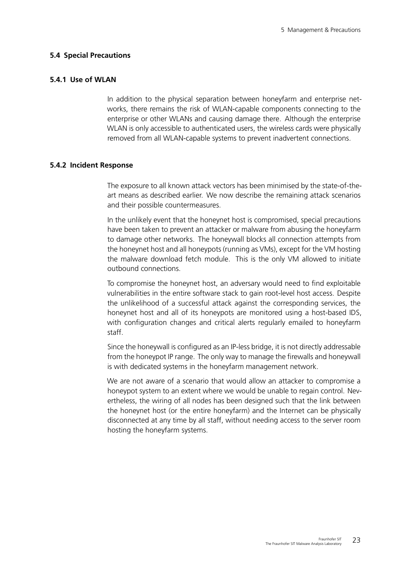#### **5.4 Special Precautions**

#### **5.4.1 Use of WLAN**

In addition to the physical separation between honeyfarm and enterprise networks, there remains the risk of WLAN-capable components connecting to the enterprise or other WLANs and causing damage there. Although the enterprise WLAN is only accessible to authenticated users, the wireless cards were physically removed from all WLAN-capable systems to prevent inadvertent connections.

#### **5.4.2 Incident Response**

The exposure to all known attack vectors has been minimised by the state-of-theart means as described earlier. We now describe the remaining attack scenarios and their possible countermeasures.

In the unlikely event that the honeynet host is compromised, special precautions have been taken to prevent an attacker or malware from abusing the honeyfarm to damage other networks. The honeywall blocks all connection attempts from the honeynet host and all honeypots (running as VMs), except for the VM hosting the malware download fetch module. This is the only VM allowed to initiate outbound connections.

To compromise the honeynet host, an adversary would need to find exploitable vulnerabilities in the entire software stack to gain root-level host access. Despite the unlikelihood of a successful attack against the corresponding services, the honeynet host and all of its honeypots are monitored using a host-based IDS, with configuration changes and critical alerts regularly emailed to honeyfarm staff.

Since the honeywall is configured as an IP-less bridge, it is not directly addressable from the honeypot IP range. The only way to manage the firewalls and honeywall is with dedicated systems in the honeyfarm management network.

We are not aware of a scenario that would allow an attacker to compromise a honeypot system to an extent where we would be unable to regain control. Nevertheless, the wiring of all nodes has been designed such that the link between the honeynet host (or the entire honeyfarm) and the Internet can be physically disconnected at any time by all staff, without needing access to the server room hosting the honeyfarm systems.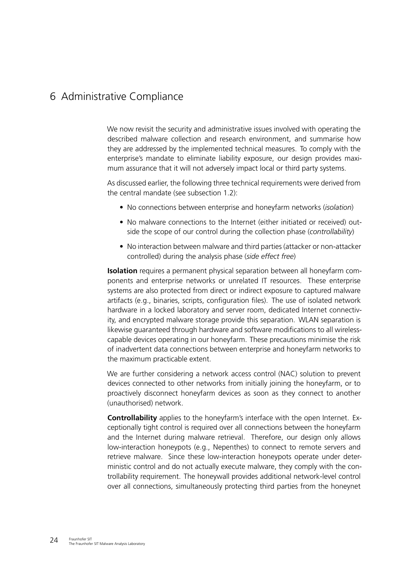# 6 Administrative Compliance

We now revisit the security and administrative issues involved with operating the described malware collection and research environment, and summarise how they are addressed by the implemented technical measures. To comply with the enterprise's mandate to eliminate liability exposure, our design provides maximum assurance that it will not adversely impact local or third party systems.

As discussed earlier, the following three technical requirements were derived from the central mandate (see subsection [1.2\)](#page-3-0):

- No connections between enterprise and honeyfarm networks (*isolation*)
- No malware connections to the Internet (either initiated or received) outside the scope of our control during the collection phase (*controllability*)
- No interaction between malware and third parties (attacker or non-attacker controlled) during the analysis phase (*side effect free*)

**Isolation** requires a permanent physical separation between all honeyfarm components and enterprise networks or unrelated IT resources. These enterprise systems are also protected from direct or indirect exposure to captured malware artifacts (e.g., binaries, scripts, configuration files). The use of isolated network hardware in a locked laboratory and server room, dedicated Internet connectivity, and encrypted malware storage provide this separation. WLAN separation is likewise guaranteed through hardware and software modifications to all wirelesscapable devices operating in our honeyfarm. These precautions minimise the risk of inadvertent data connections between enterprise and honeyfarm networks to the maximum practicable extent.

We are further considering a network access control (NAC) solution to prevent devices connected to other networks from initially joining the honeyfarm, or to proactively disconnect honeyfarm devices as soon as they connect to another (unauthorised) network.

**Controllability** applies to the honeyfarm's interface with the open Internet. Exceptionally tight control is required over all connections between the honeyfarm and the Internet during malware retrieval. Therefore, our design only allows low-interaction honeypots (e.g., Nepenthes) to connect to remote servers and retrieve malware. Since these low-interaction honeypots operate under deterministic control and do not actually execute malware, they comply with the controllability requirement. The honeywall provides additional network-level control over all connections, simultaneously protecting third parties from the honeynet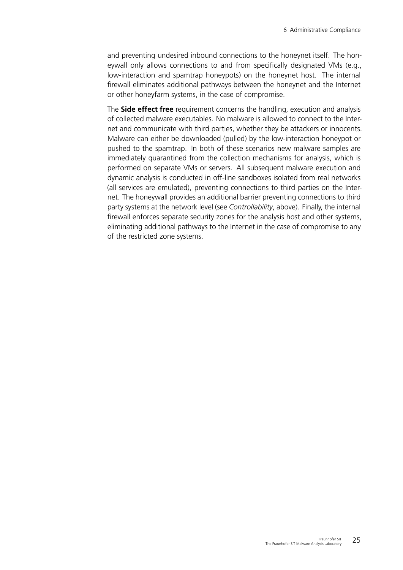and preventing undesired inbound connections to the honeynet itself. The honeywall only allows connections to and from specifically designated VMs (e.g., low-interaction and spamtrap honeypots) on the honeynet host. The internal firewall eliminates additional pathways between the honeynet and the Internet or other honeyfarm systems, in the case of compromise.

The **Side effect free** requirement concerns the handling, execution and analysis of collected malware executables. No malware is allowed to connect to the Internet and communicate with third parties, whether they be attackers or innocents. Malware can either be downloaded (pulled) by the low-interaction honeypot or pushed to the spamtrap. In both of these scenarios new malware samples are immediately quarantined from the collection mechanisms for analysis, which is performed on separate VMs or servers. All subsequent malware execution and dynamic analysis is conducted in off-line sandboxes isolated from real networks (all services are emulated), preventing connections to third parties on the Internet. The honeywall provides an additional barrier preventing connections to third party systems at the network level (see *Controllability*, above). Finally, the internal firewall enforces separate security zones for the analysis host and other systems, eliminating additional pathways to the Internet in the case of compromise to any of the restricted zone systems.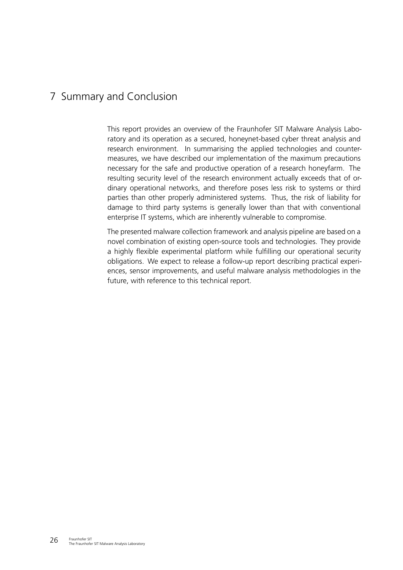# 7 Summary and Conclusion

This report provides an overview of the Fraunhofer SIT Malware Analysis Laboratory and its operation as a secured, honeynet-based cyber threat analysis and research environment. In summarising the applied technologies and countermeasures, we have described our implementation of the maximum precautions necessary for the safe and productive operation of a research honeyfarm. The resulting security level of the research environment actually exceeds that of ordinary operational networks, and therefore poses less risk to systems or third parties than other properly administered systems. Thus, the risk of liability for damage to third party systems is generally lower than that with conventional enterprise IT systems, which are inherently vulnerable to compromise.

The presented malware collection framework and analysis pipeline are based on a novel combination of existing open-source tools and technologies. They provide a highly flexible experimental platform while fulfilling our operational security obligations. We expect to release a follow-up report describing practical experiences, sensor improvements, and useful malware analysis methodologies in the future, with reference to this technical report.